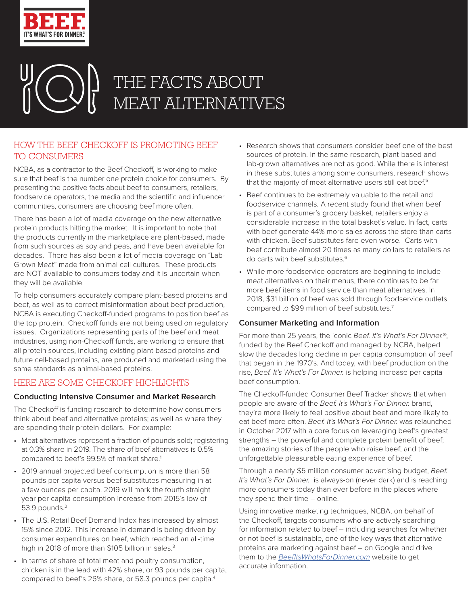

# THE FACTS ABOUT MEAT ALTERNATIVES

# HOW THE BEEF CHECKOFF IS PROMOTING BEEF TO CONSUMERS

NCBA, as a contractor to the Beef Checkoff, is working to make sure that beef is the number one protein choice for consumers. By presenting the positive facts about beef to consumers, retailers, foodservice operators, the media and the scientific and influencer communities, consumers are choosing beef more often.

There has been a lot of media coverage on the new alternative protein products hitting the market. It is important to note that the products currently in the marketplace are plant-based, made from such sources as soy and peas, and have been available for decades. There has also been a lot of media coverage on "Lab-Grown Meat" made from animal cell cultures. These products are NOT available to consumers today and it is uncertain when they will be available.

To help consumers accurately compare plant-based proteins and beef, as well as to correct misinformation about beef production, NCBA is executing Checkoff-funded programs to position beef as the top protein. Checkoff funds are not being used on regulatory issues. Organizations representing parts of the beef and meat industries, using non-Checkoff funds, are working to ensure that all protein sources, including existing plant-based proteins and future cell-based proteins, are produced and marketed using the same standards as animal-based proteins.

## HERE ARE SOME CHECKOFF HIGHLIGHTS

## **Conducting Intensive Consumer and Market Research**

The Checkoff is funding research to determine how consumers think about beef and alternative proteins; as well as where they are spending their protein dollars. For example:

- Meat alternatives represent a fraction of pounds sold; registering at 0.3% share in 2019. The share of beef alternatives is 0.5% compared to beef's 99.5% of market share.<sup>1</sup>
- 2019 annual projected beef consumption is more than 58 pounds per capita versus beef substitutes measuring in at a few ounces per capita. 2019 will mark the fourth straight year per capita consumption increase from 2015's low of 53.9 pounds.<sup>2</sup>
- The U.S. Retail Beef Demand Index has increased by almost 15% since 2012. This increase in demand is being driven by consumer expenditures on beef, which reached an all-time high in 2018 of more than \$105 billion in sales.<sup>3</sup>
- In terms of share of total meat and poultry consumption, chicken is in the lead with 42% share, or 93 pounds per capita, compared to beef's 26% share, or 58.3 pounds per capita.<sup>4</sup>
- Research shows that consumers consider beef one of the best sources of protein. In the same research, plant-based and lab-grown alternatives are not as good. While there is interest in these substitutes among some consumers, research shows that the majority of meat alternative users still eat beef.<sup>5</sup>
- Beef continues to be extremely valuable to the retail and foodservice channels. A recent study found that when beef is part of a consumer's grocery basket, retailers enjoy a considerable increase in the total basket's value. In fact, carts with beef generate 44% more sales across the store than carts with chicken. Beef substitutes fare even worse. Carts with beef contribute almost 20 times as many dollars to retailers as do carts with beef substitutes.6
- While more foodservice operators are beginning to include meat alternatives on their menus, there continues to be far more beef items in food service than meat alternatives. In 2018, \$31 billion of beef was sold through foodservice outlets compared to \$99 million of beef substitutes.7

## **Consumer Marketing and Information**

For more than 25 years, the iconic Beef. It's What's For Dinner.<sup>®</sup>, funded by the Beef Checkoff and managed by NCBA, helped slow the decades long decline in per capita consumption of beef that began in the 1970's. And today, with beef production on the rise, Beef. It's What's For Dinner. is helping increase per capita beef consumption.

The Checkoff-funded Consumer Beef Tracker shows that when people are aware of the Beef. It's What's For Dinner. brand, they're more likely to feel positive about beef and more likely to eat beef more often. Beef. It's What's For Dinner. was relaunched in October 2017 with a core focus on leveraging beef's greatest strengths – the powerful and complete protein benefit of beef; the amazing stories of the people who raise beef; and the unforgettable pleasurable eating experience of beef.

Through a nearly \$5 million consumer advertising budget, Beef. It's What's For Dinner. is always-on (never dark) and is reaching more consumers today than ever before in the places where they spend their time – online.

Using innovative marketing techniques, NCBA, on behalf of the Checkoff, targets consumers who are actively searching for information related to beef – including searches for whether or not beef is sustainable, one of the key ways that alternative proteins are marketing against beef – on Google and drive them to the BeefItsWhatsForDinner.com website to get accurate information.